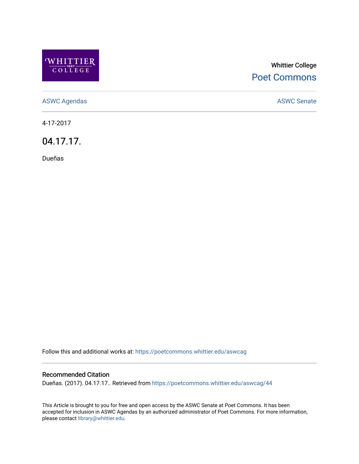

# Whittier College [Poet Commons](https://poetcommons.whittier.edu/)

[ASWC Agendas](https://poetcommons.whittier.edu/aswcag) **ASWC Senate** 

4-17-2017

04.17.17.

Dueñas

Follow this and additional works at: [https://poetcommons.whittier.edu/aswcag](https://poetcommons.whittier.edu/aswcag?utm_source=poetcommons.whittier.edu%2Faswcag%2F44&utm_medium=PDF&utm_campaign=PDFCoverPages) 

## Recommended Citation

Dueñas. (2017). 04.17.17.. Retrieved from [https://poetcommons.whittier.edu/aswcag/44](https://poetcommons.whittier.edu/aswcag/44?utm_source=poetcommons.whittier.edu%2Faswcag%2F44&utm_medium=PDF&utm_campaign=PDFCoverPages) 

This Article is brought to you for free and open access by the ASWC Senate at Poet Commons. It has been accepted for inclusion in ASWC Agendas by an authorized administrator of Poet Commons. For more information, please contact [library@whittier.edu](mailto:library@whittier.edu).